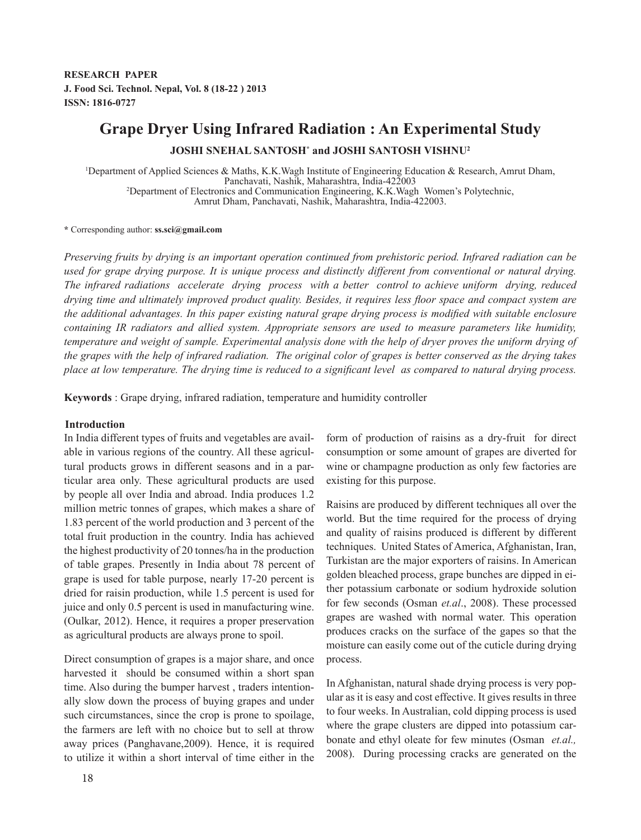# **Grape Dryer Using Infrared Radiation : An Experimental Study JOSHI SNEHAL SANTOSH\* and JOSHI SANTOSH VISHNU2**

1 Department of Applied Sciences & Maths, K.K.Wagh Institute of Engineering Education & Research, Amrut Dham, Panchavati, Nashik, Maharashtra, India-422003 <sup>2</sup> Department of Electronics and Communication Engineering, K.K.Wagh Women's Polytechnic, Amrut Dham, Panchavati, Nashik, Maharashtra, India-422003.

#### **\*** Corresponding author: **ss.sci@gmail.com**

*Preserving fruits by drying is an important operation continued from prehistoric period. Infrared radiation can be used for grape drying purpose. It is unique process and distinctly different from conventional or natural drying. The infrared radiations accelerate drying process with a better control to achieve uniform drying, reduced drying time and ultimately improved product quality. Besides, it requires less floor space and compact system are the additional advantages. In this paper existing natural grape drying process is modified with suitable enclosure containing IR radiators and allied system. Appropriate sensors are used to measure parameters like humidity, temperature and weight of sample. Experimental analysis done with the help of dryer proves the uniform drying of the grapes with the help of infrared radiation. The original color of grapes is better conserved as the drying takes place at low temperature. The drying time is reduced to a significant level as compared to natural drying process.* 

**Keywords** : Grape drying, infrared radiation, temperature and humidity controller

## **Introduction**

In India different types of fruits and vegetables are available in various regions of the country. All these agricultural products grows in different seasons and in a particular area only. These agricultural products are used by people all over India and abroad. India produces 1.2 million metric tonnes of grapes, which makes a share of 1.83 percent of the world production and 3 percent of the total fruit production in the country. India has achieved the highest productivity of 20 tonnes/ha in the production of table grapes. Presently in India about 78 percent of grape is used for table purpose, nearly 17-20 percent is dried for raisin production, while 1.5 percent is used for juice and only 0.5 percent is used in manufacturing wine. (Oulkar, 2012). Hence, it requires a proper preservation as agricultural products are always prone to spoil.

Direct consumption of grapes is a major share, and once harvested it should be consumed within a short span time. Also during the bumper harvest , traders intentionally slow down the process of buying grapes and under such circumstances, since the crop is prone to spoilage, the farmers are left with no choice but to sell at throw away prices (Panghavane,2009). Hence, it is required to utilize it within a short interval of time either in the form of production of raisins as a dry-fruit for direct consumption or some amount of grapes are diverted for wine or champagne production as only few factories are existing for this purpose.

Raisins are produced by different techniques all over the world. But the time required for the process of drying and quality of raisins produced is different by different techniques. United States of America, Afghanistan, Iran, Turkistan are the major exporters of raisins. In American golden bleached process, grape bunches are dipped in either potassium carbonate or sodium hydroxide solution for few seconds (Osman *et.al*., 2008). These processed grapes are washed with normal water. This operation produces cracks on the surface of the gapes so that the moisture can easily come out of the cuticle during drying process.

In Afghanistan, natural shade drying process is very popular as it is easy and cost effective. It gives results in three to four weeks. In Australian, cold dipping process is used where the grape clusters are dipped into potassium carbonate and ethyl oleate for few minutes (Osman *et.al.,*  2008). During processing cracks are generated on the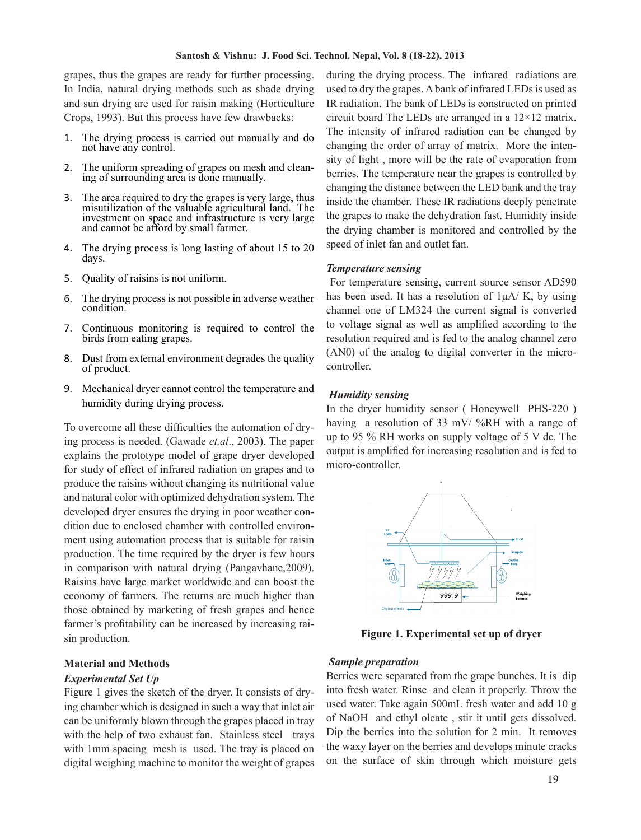grapes, thus the grapes are ready for further processing. In India, natural drying methods such as shade drying and sun drying are used for raisin making (Horticulture Crops, 1993). But this process have few drawbacks:

- 1. The drying process is carried out manually and do not have any control.
- 2. The uniform spreading of grapes on mesh and clean- ing of surrounding area is done manually.
- 3. The area required to dry the grapes is very large, thus misutilization of the valuable agricultural land. The investment on space and infrastructure is very large and cannot be afford by small farmer.
- 4. The drying process is long lasting of about 15 to 20 days.
- 5. Quality of raisins is not uniform.
- 6. The drying process is not possible in adverse weather condition.
- 7. Continuous monitoring is required to control the birds from eating grapes.
- 8. Dust from external environment degrades the quality of product.
- 9. Mechanical dryer cannot control the temperature and humidity during drying process.

To overcome all these difficulties the automation of drying process is needed. (Gawade *et.al*., 2003). The paper explains the prototype model of grape dryer developed for study of effect of infrared radiation on grapes and to produce the raisins without changing its nutritional value and natural color with optimized dehydration system. The developed dryer ensures the drying in poor weather condition due to enclosed chamber with controlled environment using automation process that is suitable for raisin production. The time required by the dryer is few hours in comparison with natural drying (Pangavhane,2009). Raisins have large market worldwide and can boost the economy of farmers. The returns are much higher than those obtained by marketing of fresh grapes and hence farmer's profitability can be increased by increasing raisin production.

# **Material and Methods**

# *Experimental Set Up*

Figure 1 gives the sketch of the dryer. It consists of drying chamber which is designed in such a way that inlet air can be uniformly blown through the grapes placed in tray with the help of two exhaust fan. Stainless steel trays with 1mm spacing mesh is used. The tray is placed on digital weighing machine to monitor the weight of grapes

during the drying process. The infrared radiations are used to dry the grapes. A bank of infrared LEDs is used as IR radiation. The bank of LEDs is constructed on printed circuit board The LEDs are arranged in a 12×12 matrix. The intensity of infrared radiation can be changed by changing the order of array of matrix. More the intensity of light , more will be the rate of evaporation from berries. The temperature near the grapes is controlled by changing the distance between the LED bank and the tray inside the chamber. These IR radiations deeply penetrate the grapes to make the dehydration fast. Humidity inside the drying chamber is monitored and controlled by the speed of inlet fan and outlet fan.

## *Temperature sensing*

 For temperature sensing, current source sensor AD590 has been used. It has a resolution of  $1\mu A/K$ , by using channel one of LM324 the current signal is converted to voltage signal as well as amplified according to the resolution required and is fed to the analog channel zero (AN0) of the analog to digital converter in the microcontroller.

#### *Humidity sensing*

In the dryer humidity sensor ( Honeywell PHS-220 ) having a resolution of 33 mV/ %RH with a range of up to 95 % RH works on supply voltage of 5 V dc. The output is amplified for increasing resolution and is fed to micro-controller.



**Figure 1. Experimental set up of dryer**

### *Sample preparation*

Berries were separated from the grape bunches. It is dip into fresh water. Rinse and clean it properly. Throw the used water. Take again 500mL fresh water and add 10 g of NaOH and ethyl oleate , stir it until gets dissolved. Dip the berries into the solution for 2 min. It removes the waxy layer on the berries and develops minute cracks on the surface of skin through which moisture gets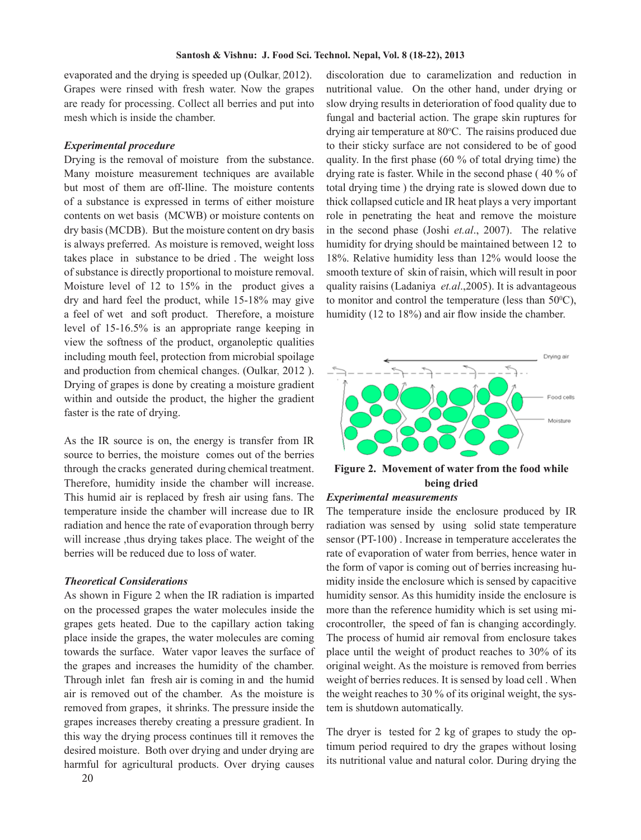evaporated and the drying is speeded up (Oulkar, 2012). Grapes were rinsed with fresh water. Now the grapes are ready for processing. Collect all berries and put into mesh which is inside the chamber.

### *Experimental procedure*

Drying is the removal of moisture from the substance. Many moisture measurement techniques are available but most of them are off-lline. The moisture contents of a substance is expressed in terms of either moisture contents on wet basis (MCWB) or moisture contents on dry basis (MCDB). But the moisture content on dry basis is always preferred. As moisture is removed, weight loss takes place in substance to be dried . The weight loss of substance is directly proportional to moisture removal. Moisture level of 12 to 15% in the product gives a dry and hard feel the product, while 15-18% may give a feel of wet and soft product. Therefore, a moisture level of 15-16.5% is an appropriate range keeping in view the softness of the product, organoleptic qualities including mouth feel, protection from microbial spoilage and production from chemical changes. (Oulkar, 2012 ). Drying of grapes is done by creating a moisture gradient within and outside the product, the higher the gradient faster is the rate of drying.

As the IR source is on, the energy is transfer from IR source to berries, the moisture comes out of the berries through the cracks generated during chemical treatment. Therefore, humidity inside the chamber will increase. This humid air is replaced by fresh air using fans. The temperature inside the chamber will increase due to IR radiation and hence the rate of evaporation through berry will increase , thus drying takes place. The weight of the berries will be reduced due to loss of water.

#### *Theoretical Considerations*

As shown in Figure 2 when the IR radiation is imparted on the processed grapes the water molecules inside the grapes gets heated. Due to the capillary action taking place inside the grapes, the water molecules are coming towards the surface. Water vapor leaves the surface of the grapes and increases the humidity of the chamber. Through inlet fan fresh air is coming in and the humid air is removed out of the chamber. As the moisture is removed from grapes, it shrinks. The pressure inside the grapes increases thereby creating a pressure gradient. In this way the drying process continues till it removes the desired moisture. Both over drying and under drying are harmful for agricultural products. Over drying causes

discoloration due to caramelization and reduction in nutritional value. On the other hand, under drying or slow drying results in deterioration of food quality due to fungal and bacterial action. The grape skin ruptures for drying air temperature at  $80^{\circ}$ C. The raisins produced due to their sticky surface are not considered to be of good quality. In the first phase (60 % of total drying time) the drying rate is faster. While in the second phase ( 40 % of total drying time ) the drying rate is slowed down due to thick collapsed cuticle and IR heat plays a very important role in penetrating the heat and remove the moisture in the second phase (Joshi *et.al*., 2007). The relative humidity for drying should be maintained between 12 to 18%. Relative humidity less than 12% would loose the smooth texture of skin of raisin, which will result in poor quality raisins (Ladaniya *et.al*.,2005). It is advantageous to monitor and control the temperature (less than  $50^{\circ}$ C), humidity (12 to 18%) and air flow inside the chamber.



**Figure 2. Movement of water from the food while being dried**

#### *Experimental measurements .*

The temperature inside the enclosure produced by IR radiation was sensed by using solid state temperature sensor (PT-100) . Increase in temperature accelerates the rate of evaporation of water from berries, hence water in the form of vapor is coming out of berries increasing humidity inside the enclosure which is sensed by capacitive humidity sensor. As this humidity inside the enclosure is more than the reference humidity which is set using microcontroller, the speed of fan is changing accordingly. The process of humid air removal from enclosure takes place until the weight of product reaches to 30% of its original weight. As the moisture is removed from berries weight of berries reduces. It is sensed by load cell . When the weight reaches to 30 % of its original weight, the system is shutdown automatically.

The dryer is tested for 2 kg of grapes to study the optimum period required to dry the grapes without losing its nutritional value and natural color. During drying the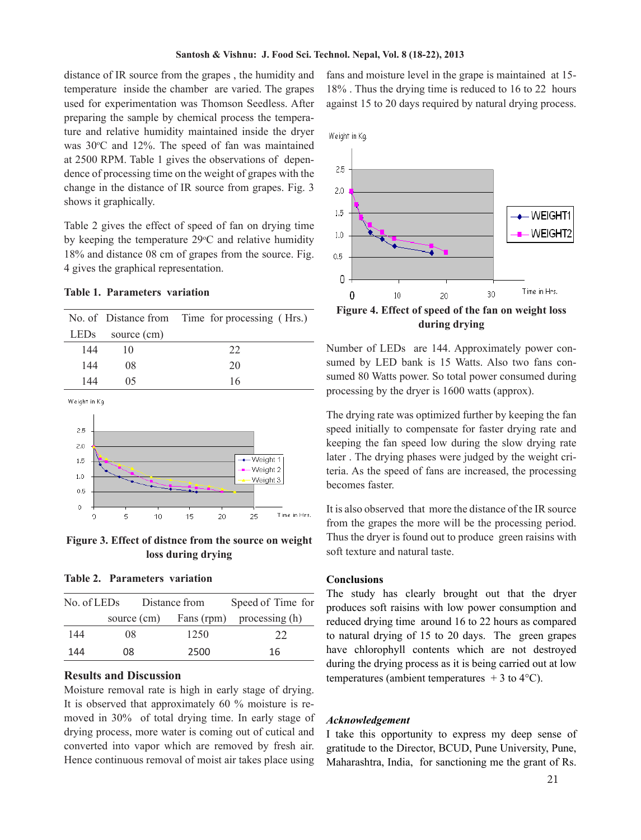distance of IR source from the grapes , the humidity and temperature inside the chamber are varied. The grapes used for experimentation was Thomson Seedless. After preparing the sample by chemical process the temperature and relative humidity maintained inside the dryer was  $30^{\circ}$ C and  $12\%$ . The speed of fan was maintained at 2500 RPM. Table 1 gives the observations of dependence of processing time on the weight of grapes with the change in the distance of IR source from grapes. Fig. 3 shows it graphically.

Table 2 gives the effect of speed of fan on drying time by keeping the temperature  $29^{\circ}$ C and relative humidity 18% and distance 08 cm of grapes from the source. Fig. 4 gives the graphical representation.

## **Table 1. Parameters variation**

|                                 |    |    | No. of Distance from Time for processing (Hrs.) |                      |  |
|---------------------------------|----|----|-------------------------------------------------|----------------------|--|
| LED <sub>s</sub><br>source (cm) |    |    |                                                 |                      |  |
| 144<br>10                       |    |    | 22                                              |                      |  |
| 144<br>08                       |    |    | 20                                              |                      |  |
| 144                             | 05 |    | 16                                              |                      |  |
| Weight in Kg                    |    |    |                                                 |                      |  |
|                                 |    |    |                                                 |                      |  |
| 2.5                             |    |    |                                                 |                      |  |
| 2.0                             |    |    |                                                 |                      |  |
| 1.5                             |    |    |                                                 | -Weight 1            |  |
| 1.0                             |    |    |                                                 | Weight 2<br>Weight 3 |  |
| 0.5                             |    |    |                                                 |                      |  |
| $\ddot{\rm{o}}$                 | 5  |    |                                                 | Time in Hrs.         |  |
| 0                               |    | 10 | 15<br>20                                        | 25                   |  |

**Figure 3. Effect of distnce from the source on weight loss during drying** 

**Table 2. Parameters variation** 

| No. of LEDs |    | Distance from | Speed of Time for                     |
|-------------|----|---------------|---------------------------------------|
|             |    |               | source (cm) Fans (rpm) processing (h) |
| 144         | 08 | 1250          | 22                                    |
| 144         | 08 | 2500          | 16                                    |

# **Results and Discussion**

Moisture removal rate is high in early stage of drying. It is observed that approximately 60 % moisture is removed in 30% of total drying time. In early stage of drying process, more water is coming out of cutical and converted into vapor which are removed by fresh air. Hence continuous removal of moist air takes place using fans and moisture level in the grape is maintained at 15- 18% . Thus the drying time is reduced to 16 to 22 hours against 15 to 20 days required by natural drying process.



**during drying**

Number of LEDs are 144. Approximately power consumed by LED bank is 15 Watts. Also two fans consumed 80 Watts power. So total power consumed during processing by the dryer is 1600 watts (approx).

The drying rate was optimized further by keeping the fan speed initially to compensate for faster drying rate and keeping the fan speed low during the slow drying rate later . The drying phases were judged by the weight criteria. As the speed of fans are increased, the processing becomes faster.

It is also observed that more the distance of the IR source from the grapes the more will be the processing period. Thus the dryer is found out to produce green raisins with soft texture and natural taste.

## **Conclusions**

The study has clearly brought out that the dryer produces soft raisins with low power consumption and reduced drying time around 16 to 22 hours as compared to natural drying of 15 to 20 days. The green grapes have chlorophyll contents which are not destroyed during the drying process as it is being carried out at low temperatures (ambient temperatures  $+3$  to  $4^{\circ}$ C).

#### *Acknowledgement*

I take this opportunity to express my deep sense of gratitude to the Director, BCUD, Pune University, Pune, Maharashtra, India, for sanctioning me the grant of Rs.